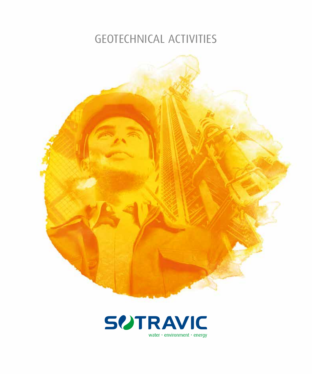## GEOTECHNICAL ACTIVITIES



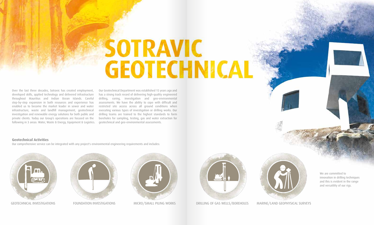# **SOTRAVIC GEOTECHNICAL**

Over the last three decades, Sotravic has created employment, developed skills, applied technology and delivered infrastructure throughout Mauritius and Indian Ocean Islands. Careful step-by-step expansion in both resources and experience has enabled us to become the market leader in sewer and water infrastructure, waste and landfill management, geotechnical investigation and renewable energy solutions for both public and private clients. Today our Group's operations are focused on the following in 3 areas: Water, Waste & Energy, Equipment & Logistics.

Our Geotechnical Department was established 15 years ago and has a strong track record of delivering high-quality engineered drilling, coring, investigation and geo-environmental assessments. We have the ability to cope with difficult and restricted site access across all ground conditions when executing various types of investigation or drilling works. Our drilling teams are trained to the highest standards to form boreholes for sampling, testing, gas and water extraction for geotechnical and geo-environmental assessments.

#### **Geotechnical Activities**

Our comprehensive service can be integrated with any project's environmental engineering requirements and includes:











We are committed to innovation in drilling techniques and this is evident in the range and versatility of our rigs.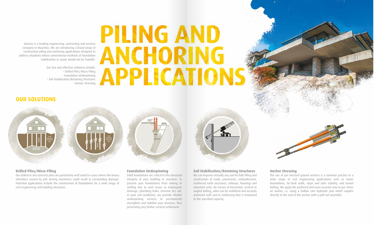CRACKED FLOOR



ANGLED DRILLING

JACK CONCRETE

## **PILING AND ANCHORING** APPLICATIONS

Sotravic is a leading engineering, contracting and services company in Mauritius. We are introducing a broad range of construction piling and anchoring applications designed to address situations where conventional methods of foundation stabilization or repair would not be feasible.

> Our fast and effective solutions include: • Drilled Piles/Micro Piling • Foundation Underpinning • Soil Stabilization/Retaining Structures • Anchor Stressing

#### **Drilled Piles/Micro Piling**

Our drilled in-situ concrete piles are particularly well suited in cases where the heavy vibrations caused by pile driving machinery could result in surrounding damage. Potential applications include the construction of foundations for a wide range of civil engineering and building structures.

### **Soil Stabilization/Retaining Structures**

We can improve virtually any soil for bulk filling and construction of roads, pavements, embankments, reinforced earth structures, railways, housings and industrial units. By means of horizontal, vertical or angled drilling, sides can be stabilized and securely anchored with cast-in reinforcing that is tensioned to the specified capacity.

#### **Anchor Stressing**



The use of pre-stressed ground anchors is a common practice in a wide range of civil engineering applications such as tower foundations, tie-back walls, slope and dam stability, and tunnel bolting. We apply the preferred and most accurate way to pre-stress an anchor, i.e. using a hollow ram hydraulic jack which couples directly to the end of the anchor with a pull rod assembly.

#### **Foundation Underpinning**

Solid foundations are critical to the structural integrity of your building or structure. To prevent your foundations from sinking or settling due to such issues as inadequate drainage, plumbing leaks, extreme dry soil, or poor soil conditions, we provide reliable underpinning services to permanently strengthen and stabilize your structure, thus preventing any further vertical settlement.



### **OUR SOLUTIONS**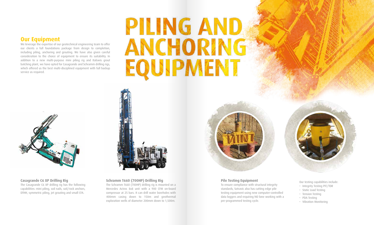### **Our Equipment**

We leverage the expertise of our geotechnical engineering team to offer our clients a full foundations package from design to completion, including piling, anchoring and grouting. We have also given careful consideration to the choice of equipment to ensure its suitability. In addition to a new multi-purpose mini piling rig and Italswis grout batching plant, we have opted for Casagrande and Schramm drilling rigs, which offered us the best multi-disciplined equipment with full backup service as required.

# **PILING AND** ANCHORING EQUIPMENT



#### **Casagrande C6 XP Drilling Rig**

The Casagrande C6 XP drilling rig has the following capabilities: mini piling, soil nails, soil/rock anchors, DTHH, symmetric piling, jet grouting and small CFA.



#### **Pile Testing Equipment**

To ensure compliance with structural integrity standards, Sotravic also has cutting edge pile testing equipment using new computer-controlled data loggers and requiring NO lone working with a pre-programmed testing cycle.



Our testing capabilities include:

- Integrity Testing PIT/TDR
- Static Load Testing
- Tension Testing
- PDA Testing
- Vibration Monitoring

#### **Schramm T660 (700HP) Drilling Rig**

The Schramm T660 (700HP) drilling rig is mounted on a Mercedes Actros 8x8 unit with a 900 CFM on-board compressor at 25 bars. It can drill water boreholes with 400mm casing down to 150m and geothermal exploration wells of diameter 200mm down to 1,500m.